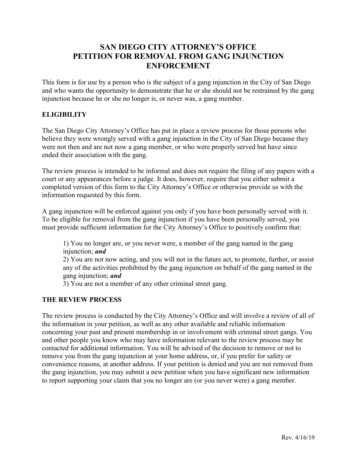# **SAN DIEGO CITY ATTORNEY'S OFFICE PETITION FOR REMOVAL FROM GANG INJUNCTION ENFORCEMENT**

This form is for use by a person who is the subject of a gang injunction in the City of San Diego and who wants the opportunity to demonstrate that he or she should not be restrained by the gang injunction because he or she no longer is, or never was, a gang member.

### **ELIGIBILITY**

The San Diego City Attorney's Office has put in place a review process for those persons who believe they were wrongly served with a gang injunction in the City of San Diego because they were not then and are not now a gang member, or who were properly served but have since ended their association with the gang.

The review process is intended to be informal and does not require the filing of any papers with a court or any appearances before a judge. It does, however, require that you either submit a completed version of this form to the City Attorney's Office or otherwise provide us with the information requested by this form.

A gang injunction will be enforced against you only if you have been personally served with it. To be eligible for removal from the gang injunction if you have been personally served, you must provide sufficient information for the City Attorney's Office to positively confirm that:

1) You no longer are, or you never were, a member of the gang named in the gang injunction; *and* 

2) You are not now acting, and you will not in the future act, to promote, further, or assist any of the activities prohibited by the gang injunction on behalf of the gang named in the gang injunction; *and* 

3) You are not a member of any other criminal street gang.

### **THE REVIEW PROCESS**

The review process is conducted by the City Attorney's Office and will involve a review of all of the information in your petition, as well as any other available and reliable information concerning your past and present membership in or involvement with criminal street gangs. You and other people you know who may have information relevant to the review process may be contacted for additional information. You will be advised of the decision to remove or not to remove you from the gang injunction at your home address, or, if you prefer for safety or convenience reasons, at another address. If your petition is denied and you are not removed from the gang injunction, you may submit a new petition when you have significant new information to report supporting your claim that you no longer are (or you never were) a gang member.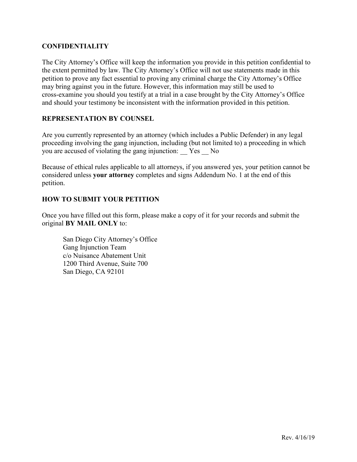#### **CONFIDENTIALITY**

The City Attorney's Office will keep the information you provide in this petition confidential to the extent permitted by law. The City Attorney's Office will not use statements made in this petition to prove any fact essential to proving any criminal charge the City Attorney's Office may bring against you in the future. However, this information may still be used to cross-examine you should you testify at a trial in a case brought by the City Attorney's Office and should your testimony be inconsistent with the information provided in this petition.

#### **REPRESENTATION BY COUNSEL**

Are you currently represented by an attorney (which includes a Public Defender) in any legal proceeding involving the gang injunction, including (but not limited to) a proceeding in which you are accused of violating the gang injunction: \_\_ Yes \_\_ No

Because of ethical rules applicable to all attorneys, if you answered yes, your petition cannot be considered unless **your attorney** completes and signs Addendum No. 1 at the end of this petition.

#### **HOW TO SUBMIT YOUR PETITION**

Once you have filled out this form, please make a copy of it for your records and submit the original **BY MAIL ONLY** to:

San Diego City Attorney's Office Gang Injunction Team c/o Nuisance Abatement Unit 1200 Third Avenue, Suite 700 San Diego, CA 92101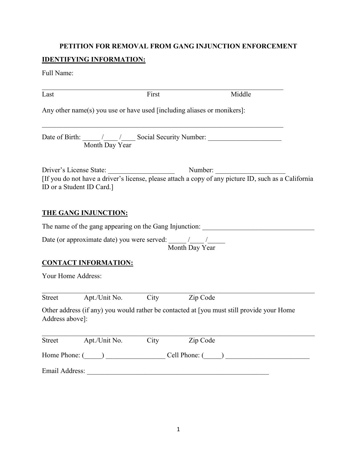## **PETITION FOR REMOVAL FROM GANG INJUNCTION ENFORCEMENT**

# **IDENTIFYING INFORMATION:**

Full Name:

| Last                           | First                                                                                                                                                                                                                          |                | Middle                                                                                                                                                                                                                         |
|--------------------------------|--------------------------------------------------------------------------------------------------------------------------------------------------------------------------------------------------------------------------------|----------------|--------------------------------------------------------------------------------------------------------------------------------------------------------------------------------------------------------------------------------|
|                                | Any other name(s) you use or have used [including aliases or monikers]:                                                                                                                                                        |                |                                                                                                                                                                                                                                |
|                                | Month Day Year                                                                                                                                                                                                                 |                |                                                                                                                                                                                                                                |
| ID or a Student ID Card.]      | Driver's License State:                                                                                                                                                                                                        |                | Driver's License State: Number: Number: Number: IIf you do not have a driver's license, please attach a copy of any picture ID, such as a California                                                                           |
| <b>THE GANG INJUNCTION:</b>    |                                                                                                                                                                                                                                |                |                                                                                                                                                                                                                                |
|                                | The name of the gang appearing on the Gang Injunction:                                                                                                                                                                         |                |                                                                                                                                                                                                                                |
|                                |                                                                                                                                                                                                                                | Month Day Year |                                                                                                                                                                                                                                |
| <b>CONTACT INFORMATION:</b>    |                                                                                                                                                                                                                                |                |                                                                                                                                                                                                                                |
| Your Home Address:             |                                                                                                                                                                                                                                |                |                                                                                                                                                                                                                                |
| Street                         | Apt./Unit No. City                                                                                                                                                                                                             | Zip Code       |                                                                                                                                                                                                                                |
| Address above]:                |                                                                                                                                                                                                                                |                | Other address (if any) you would rather be contacted at [you must still provide your Home                                                                                                                                      |
| Apt./Unit No.<br><b>Street</b> | City                                                                                                                                                                                                                           | Zip Code       |                                                                                                                                                                                                                                |
|                                |                                                                                                                                                                                                                                |                | Home Phone: (Campaign Cell Phone: (Campaign Cell Phone: (Campaign Cell Phone: (Campaign Cell Phone: (Campaign Cell Phone: (Campaign Cell Phone: (Campaign Cell Phone: (Campaign Cell Phone: (Campaign Cell Phone: (Campaign Ce |
|                                | Email Address: The Contract of the Contract of the Contract of the Contract of the Contract of the Contract of the Contract of the Contract of the Contract of the Contract of the Contract of the Contract of the Contract of |                |                                                                                                                                                                                                                                |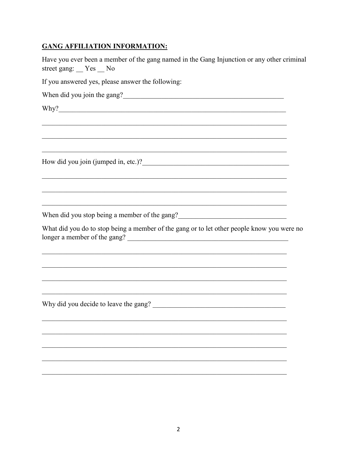## **GANG AFFILIATION INFORMATION:**

Have you ever been a member of the gang named in the Gang Injunction or any other criminal street gang: Yes No

If you answered yes, please answer the following:

How did you join (jumped in, etc.)?

When did you stop being a member of the gang?

What did you do to stop being a member of the gang or to let other people know you were no longer a member of the gang?

<u> 1989 - Johann John Harry Harry Harry Harry Harry Harry Harry Harry Harry Harry Harry Harry Harry Harry Harry H</u>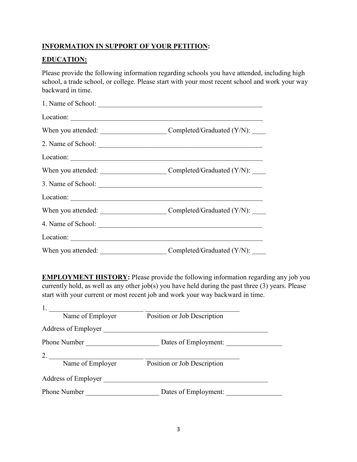# **INFORMATION IN SUPPORT OF YOUR PETITION:**

### **EDUCATION:**

Please provide the following information regarding schools you have attended, including high school, a trade school, or college. Please start with your most recent school and work your way backward in time.

|                    | Location:                             |
|--------------------|---------------------------------------|
|                    |                                       |
|                    |                                       |
|                    |                                       |
|                    |                                       |
|                    |                                       |
|                    |                                       |
|                    |                                       |
|                    |                                       |
|                    |                                       |
| When you attended: | Completed/Graduated $(Y/N)$ : _______ |

**EMPLOYMENT HISTORY:** Please provide the following information regarding any job you currently hold, as well as any other job(s) you have held during the past three (3) years. Please start with your current or most recent job and work your way backward in time.

| Name of Employer                     | Position or Job Description |  |
|--------------------------------------|-----------------------------|--|
| Address of Employer                  |                             |  |
| Phone Number<br>Dates of Employment: |                             |  |
| 2.                                   |                             |  |
| Name of Employer                     | Position or Job Description |  |
| Address of Employer                  |                             |  |
| <b>Phone Number</b>                  | Dates of Employment:        |  |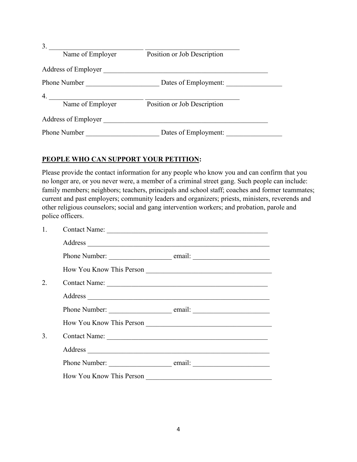| 3 <sub>1</sub>      |                             |
|---------------------|-----------------------------|
| Name of Employer    | Position or Job Description |
| Address of Employer |                             |
| Phone Number        | Dates of Employment:        |
| 4.                  |                             |
| Name of Employer    | Position or Job Description |
| Address of Employer |                             |
| <b>Phone Number</b> | Dates of Employment:        |

### **PEOPLE WHO CAN SUPPORT YOUR PETITION:**

Please provide the contact information for any people who know you and can confirm that you no longer are, or you never were, a member of a criminal street gang. Such people can include: family members; neighbors; teachers, principals and school staff; coaches and former teammates; current and past employers; community leaders and organizers; priests, ministers, reverends and other religious counselors; social and gang intervention workers; and probation, parole and police officers.

| $\mathbf{1}$ . | Contact Name: |                          |  |
|----------------|---------------|--------------------------|--|
|                |               |                          |  |
|                |               |                          |  |
|                |               |                          |  |
| 2.             |               | Contact Name:            |  |
|                |               |                          |  |
|                |               |                          |  |
|                |               | How You Know This Person |  |
| 3.             |               |                          |  |
|                |               |                          |  |
|                |               |                          |  |
|                |               | How You Know This Person |  |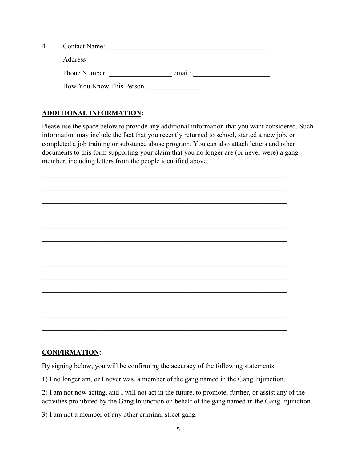| 4 | Contact Name:            |        |  |
|---|--------------------------|--------|--|
|   | Address                  |        |  |
|   | Phone Number:            | email: |  |
|   | How You Know This Person |        |  |

# **ADDITIONAL INFORMATION:**

Please use the space below to provide any additional information that you want considered. Such information may include the fact that you recently returned to school, started a new job, or completed a job training or substance abuse program. You can also attach letters and other documents to this form supporting your claim that you no longer are (or never were) a gang member, including letters from the people identified above.

\_\_\_\_\_\_\_\_\_\_\_\_\_\_\_\_\_\_\_\_\_\_\_\_\_\_\_\_\_\_\_\_\_\_\_\_\_\_\_\_\_\_\_\_\_\_\_\_\_\_\_\_\_\_\_\_\_\_\_\_\_\_\_\_\_\_\_\_\_\_ \_\_\_\_\_\_\_\_\_\_\_\_\_\_\_\_\_\_\_\_\_\_\_\_\_\_\_\_\_\_\_\_\_\_\_\_\_\_\_\_\_\_\_\_\_\_\_\_\_\_\_\_\_\_\_\_\_\_\_\_\_\_\_\_\_\_\_\_\_\_ \_\_\_\_\_\_\_\_\_\_\_\_\_\_\_\_\_\_\_\_\_\_\_\_\_\_\_\_\_\_\_\_\_\_\_\_\_\_\_\_\_\_\_\_\_\_\_\_\_\_\_\_\_\_\_\_\_\_\_\_\_\_\_\_\_\_\_\_\_\_ \_\_\_\_\_\_\_\_\_\_\_\_\_\_\_\_\_\_\_\_\_\_\_\_\_\_\_\_\_\_\_\_\_\_\_\_\_\_\_\_\_\_\_\_\_\_\_\_\_\_\_\_\_\_\_\_\_\_\_\_\_\_\_\_\_\_\_\_\_\_ \_\_\_\_\_\_\_\_\_\_\_\_\_\_\_\_\_\_\_\_\_\_\_\_\_\_\_\_\_\_\_\_\_\_\_\_\_\_\_\_\_\_\_\_\_\_\_\_\_\_\_\_\_\_\_\_\_\_\_\_\_\_\_\_\_\_\_\_\_\_ \_\_\_\_\_\_\_\_\_\_\_\_\_\_\_\_\_\_\_\_\_\_\_\_\_\_\_\_\_\_\_\_\_\_\_\_\_\_\_\_\_\_\_\_\_\_\_\_\_\_\_\_\_\_\_\_\_\_\_\_\_\_\_\_\_\_\_\_\_\_ \_\_\_\_\_\_\_\_\_\_\_\_\_\_\_\_\_\_\_\_\_\_\_\_\_\_\_\_\_\_\_\_\_\_\_\_\_\_\_\_\_\_\_\_\_\_\_\_\_\_\_\_\_\_\_\_\_\_\_\_\_\_\_\_\_\_\_\_\_\_ \_\_\_\_\_\_\_\_\_\_\_\_\_\_\_\_\_\_\_\_\_\_\_\_\_\_\_\_\_\_\_\_\_\_\_\_\_\_\_\_\_\_\_\_\_\_\_\_\_\_\_\_\_\_\_\_\_\_\_\_\_\_\_\_\_\_\_\_\_\_ \_\_\_\_\_\_\_\_\_\_\_\_\_\_\_\_\_\_\_\_\_\_\_\_\_\_\_\_\_\_\_\_\_\_\_\_\_\_\_\_\_\_\_\_\_\_\_\_\_\_\_\_\_\_\_\_\_\_\_\_\_\_\_\_\_\_\_\_\_\_ \_\_\_\_\_\_\_\_\_\_\_\_\_\_\_\_\_\_\_\_\_\_\_\_\_\_\_\_\_\_\_\_\_\_\_\_\_\_\_\_\_\_\_\_\_\_\_\_\_\_\_\_\_\_\_\_\_\_\_\_\_\_\_\_\_\_\_\_\_\_ \_\_\_\_\_\_\_\_\_\_\_\_\_\_\_\_\_\_\_\_\_\_\_\_\_\_\_\_\_\_\_\_\_\_\_\_\_\_\_\_\_\_\_\_\_\_\_\_\_\_\_\_\_\_\_\_\_\_\_\_\_\_\_\_\_\_\_\_\_\_ \_\_\_\_\_\_\_\_\_\_\_\_\_\_\_\_\_\_\_\_\_\_\_\_\_\_\_\_\_\_\_\_\_\_\_\_\_\_\_\_\_\_\_\_\_\_\_\_\_\_\_\_\_\_\_\_\_\_\_\_\_\_\_\_\_\_\_\_\_\_  $\mathcal{L}_\text{max}$  and  $\mathcal{L}_\text{max}$  and  $\mathcal{L}_\text{max}$  and  $\mathcal{L}_\text{max}$  and  $\mathcal{L}_\text{max}$  and  $\mathcal{L}_\text{max}$ 

\_\_\_\_\_\_\_\_\_\_\_\_\_\_\_\_\_\_\_\_\_\_\_\_\_\_\_\_\_\_\_\_\_\_\_\_\_\_\_\_\_\_\_\_\_\_\_\_\_\_\_\_\_\_\_\_\_\_\_\_\_\_\_\_\_\_\_\_\_\_

## **CONFIRMATION:**

By signing below, you will be confirming the accuracy of the following statements:

1) I no longer am, or I never was, a member of the gang named in the Gang Injunction.

2) I am not now acting, and I will not act in the future, to promote, further, or assist any of the activities prohibited by the Gang Injunction on behalf of the gang named in the Gang Injunction.

3) I am not a member of any other criminal street gang.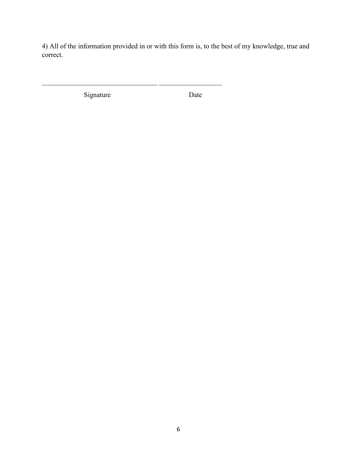4) All of the information provided in or with this form is, to the best of my knowledge, true and correct.

Signature Date

\_\_\_\_\_\_\_\_\_\_\_\_\_\_\_\_\_\_\_\_\_\_\_\_\_\_\_\_\_\_\_\_\_ \_\_\_\_\_\_\_\_\_\_\_\_\_\_\_\_\_\_